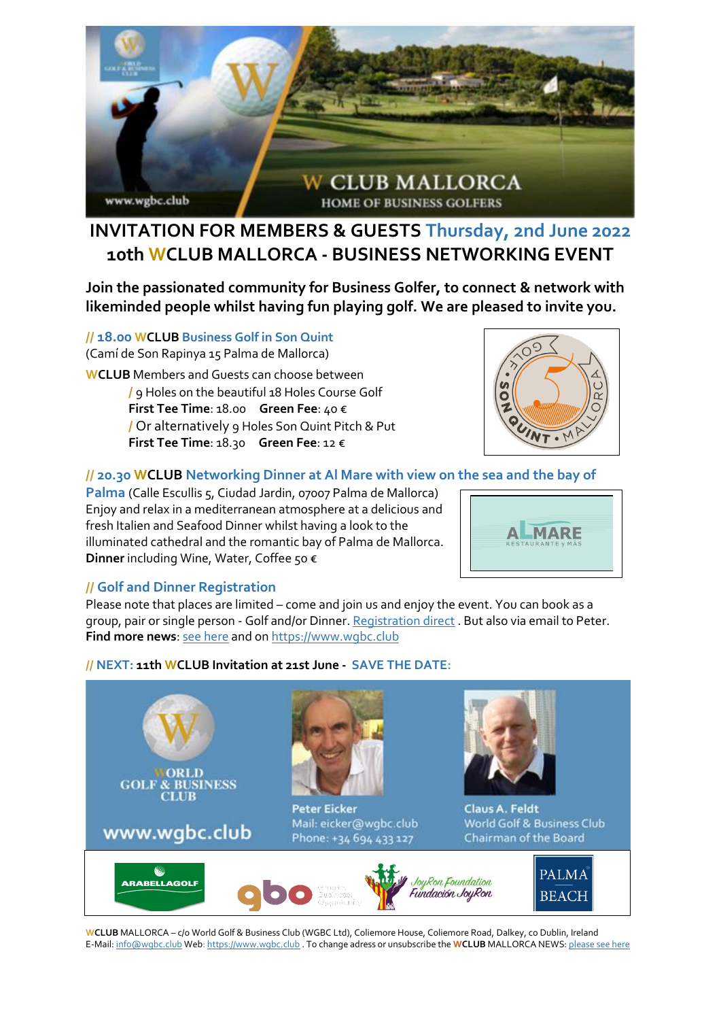

## **INVITATION FOR MEMBERS & GUESTS Thursday, 2nd June 2022 10th WCLUB MALLORCA - BUSINESS NETWORKING EVENT**

**Join the passionated community for Business Golfer, to connect & network with likeminded people whilst having fun playing golf. We are pleased to invite you.**

**// 18.00 WCLUB Business Golf in Son Quint**

(Camí de Son Rapinya 15 Palma de Mallorca)

**WCLUB** Members and Guests can choose between **/** 9 Holes on the beautiful 18 Holes Course Golf **First Tee Time**: 18.00 **Green Fee**: 40 € **/** Or alternatively 9 Holes Son Quint Pitch & Put **First Tee Time**: 18.30 **Green Fee**: 12 €



### **// 20.30 WCLUB Networking Dinner at Al Mare with view on the sea and the bay of**

Palma (Calle Escullis 5, Ciudad Jardin, 07007 Palma de Mallorca) Enjoy and relax in a mediterranean atmosphere at a delicious and fresh Italien and Seafood Dinner whilst having a look to the illuminated cathedral and the romantic bay of Palma de Mallorca. **Dinner** including Wine, Water, Coffee 50 €



#### **// Golf and Dinner Registration**

Please note that places are limited – come and join us and enjoy the event. You can book as a group, pair or single person - Golf and/or Dinner[. Registration direct](https://www.wgbc.club/wclub-mallorca-application-for-events-tournaments/) . But also via email to Peter. **Find more news**: [see here](https://cloud.wgbc.club/WCLUB_Mallorca-Newsletter_01-22) and o[n https://www.wgbc.club](https://www.wgbc.club/)

#### **// NEXT: 11th WCLUB Invitation at 21st June - SAVE THE DATE:**



**WCLUB** MALLORCA – c/o World Golf & Business Club (WGBC Ltd), Coliemore House, Coliemore Road, Dalkey, co Dublin, Ireland E-Mail[: info@wgbc.club](mailto:info@wgbc.club) Web[: https://www.wgbc.club](https://www.wgbc.club/) . To change adress or unsubscribe the **WCLUB** MALLORCA NEWS[: please see here](mailto:info@wgbc.club?subject=Unsubscribe%20from%20Newsletter%20Mallorca)